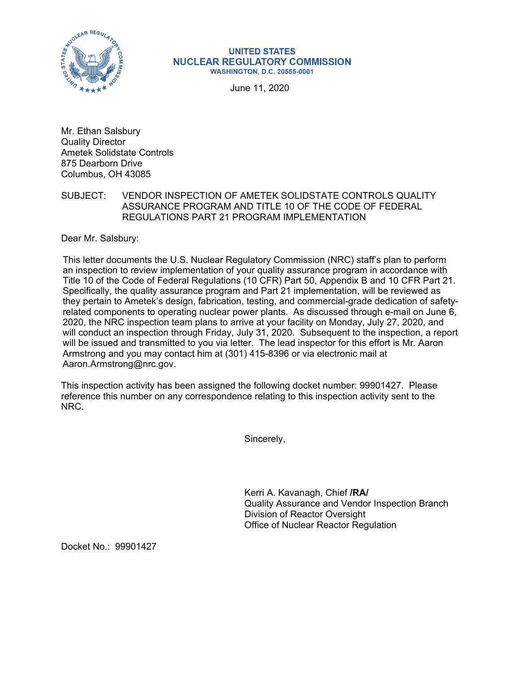

## **UNITED STATES NUCLEAR REGULATORY COMMISSION WASHINGTON, D.C. 20555-0001**

June 11, 2020

Mr. Ethan Salsbury Quality Director Ametek Solidstate Controls 875 Dearborn Drive Columbus, OH 43085

## SUBJECT: VENDOR INSPECTION OF AMETEK SOLIDSTATE CONTROLS QUALITY ASSURANCE PROGRAM AND TITLE 10 OF THE CODE OF FEDERAL REGULATIONS PART 21 PROGRAM IMPLEMENTATION

Dear Mr. Salsbury:

This letter documents the U.S. Nuclear Regulatory Commission (NRC) staff's plan to perform an inspection to review implementation of your quality assurance program in accordance with Title 10 of the Code of Federal Regulations (10 CFR) Part 50, Appendix B and 10 CFR Part 21. Specifically, the quality assurance program and Part 21 implementation, will be reviewed as they pertain to Ametek's design, fabrication, testing, and commercial-grade dedication of safetyrelated components to operating nuclear power plants. As discussed through e-mail on June 6, 2020, the NRC inspection team plans to arrive at your facility on Monday, July 27, 2020, and will conduct an inspection through Friday, July 31, 2020. Subsequent to the inspection, a report will be issued and transmitted to you via letter. The lead inspector for this effort is Mr. Aaron Armstrong and you may contact him at (301) 415-8396 or via electronic mail at Aaron.Armstrong@nrc.gov.

This inspection activity has been assigned the following docket number: 99901427. Please reference this number on any correspondence relating to this inspection activity sent to the NRC.

Sincerely,

Kerri A. Kavanagh, Chief **/RA/**  Quality Assurance and Vendor Inspection Branch Division of Reactor Oversight Office of Nuclear Reactor Regulation

Docket No.: 99901427